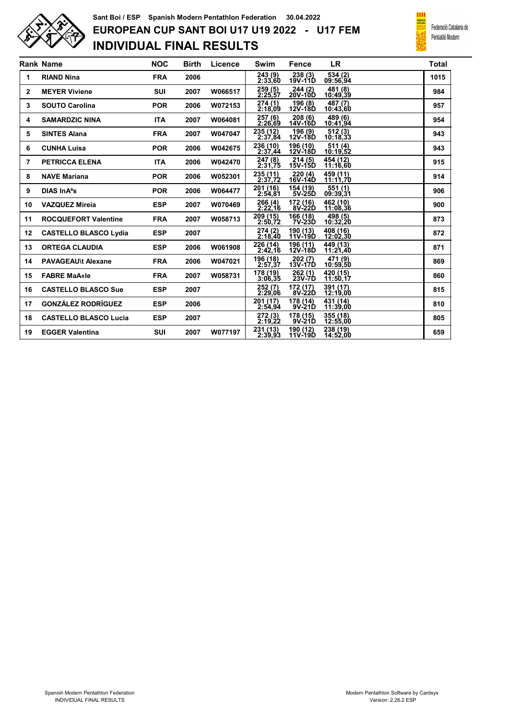

## INDIVIDUAL FINAL RESULTS EUROPEAN CUP SANT BOI U17 U19 2022 - U17 FEM Sant Boi / ESP Spanish Modern Pentathlon Federation 30.04.2022



|                | <b>Rank Name</b>             | <b>NOC</b> | <b>Birth</b> | Licence | Swim                | <b>Fence</b>           | LR                   | <b>Total</b> |
|----------------|------------------------------|------------|--------------|---------|---------------------|------------------------|----------------------|--------------|
| 1              | <b>RIAND Nina</b>            | <b>FRA</b> | 2006         |         | 243 (9)<br>2:33,60  | 238 (3)<br>19V-11D     | 534 (2)<br>09:56,94  | 1015         |
| $\overline{2}$ | <b>MEYER Viviene</b>         | <b>SUI</b> | 2007         | W066517 | 259 (5)<br>2:25,57  | 244 (2)<br>20V-10D     | 481 (8)<br>10:49.39  | 984          |
| 3              | <b>SOUTO Carolina</b>        | <b>POR</b> | 2006         | W072153 | 274(1)<br>2:18.09   | 196 (8)<br>12V-18D     | 487 (7)<br>10:43.60  | 957          |
| 4              | <b>SAMARDZIC NINA</b>        | <b>ITA</b> | 2007         | W064081 | 257 (6)<br>2:26,69  | 208 (6)<br>$14V - 16D$ | 489 (6)<br>10:41,94  | 954          |
| 5              | <b>SINTES Alana</b>          | <b>FRA</b> | 2007         | W047047 | 235 (12)<br>2:37.84 | 196 (9)<br>12V-18D     | $512(3)$<br>10:18,33 | 943          |
| 6              | <b>CUNHA Luisa</b>           | <b>POR</b> | 2006         | W042675 | 236 (10)<br>2:37,44 | 196 (10)<br>12V-18D    | 511 (4)<br>10:19,52  | 943          |
| 7              | <b>PETRICCA ELENA</b>        | <b>ITA</b> | 2006         | W042470 | 247 (8)<br>2:31,75  | 214 (5)<br>15V-15D     | 454 (12)<br>11:16,60 | 915          |
| 8              | <b>NAVE Mariana</b>          | <b>POR</b> | 2006         | W052301 | 235 (11)<br>2:37.72 | 220 (4)<br>16V-14D     | 459 (11)<br>11:11.70 | 914          |
| 9              | DIAS In A <sup>a</sup> s     | <b>POR</b> | 2006         | W064477 | 201 (16)<br>2:54.81 | 154 (19)<br>5V-25D     | 551(1)<br>09:39.31   | 906          |
| 10             | <b>VAZQUEZ Mireia</b>        | <b>ESP</b> | 2007         | W070469 | 266 (4)<br>2:22,16  | 172 (16)<br>8V-22D     | 462 (10)<br>11:08.36 | 900          |
| 11             | <b>ROCQUEFORT Valentine</b>  | <b>FRA</b> | 2007         | W058713 | 209 (15)<br>2:50,72 | 166 (18)<br>7V-23D     | 498 (5)<br>10:32,20  | 873          |
| 12             | <b>CASTELLO BLASCO Lydia</b> | <b>ESP</b> | 2007         |         | 274 (2)<br>2:18,40  | 190 (13)<br>11V-19D    | 408 (16)<br>12:02,30 | 872          |
| 13             | <b>ORTEGA CLAUDIA</b>        | <b>ESP</b> | 2006         | W061908 | 226 (14)<br>2:42.16 | 196 (11)<br>12V-18D    | 449 (13)<br>11:21,40 | 871          |
| 14             | <b>PAVAGEAU\t Alexane</b>    | <b>FRA</b> | 2006         | W047021 | 196 (18)<br>2:57.37 | 202(7)<br>13V-17D      | 471 (9)<br>10:59.50  | 869          |
| 15             | <b>FABRE MaA«le</b>          | <b>FRA</b> | 2007         | W058731 | 178 (19)<br>3:06.35 | 262 (1)<br>23V-7D      | 420 (15)<br>11:50.17 | 860          |
| 16             | <b>CASTELLO BLASCO Sue</b>   | <b>ESP</b> | 2007         |         | 252 (7)<br>2:29,06  | 172 (17)<br>8V-22D     | 391 (17)<br>12:19.00 | 815          |
| 17             | <b>GONZÁLEZ RODRÍGUEZ</b>    | <b>ESP</b> | 2006         |         | 201 (17)<br>2:54.94 | 178 (14)<br>9V-21D     | 431 (14)<br>11:39.00 | 810          |
| 18             | <b>CASTELLO BLASCO Lucia</b> | <b>ESP</b> | 2007         |         | 272 (3)<br>2:19,22  | 178 (15)<br>9V-21D     | 355 (18)<br>12:55.00 | 805          |
| 19             | <b>EGGER Valentina</b>       | <b>SUI</b> | 2007         | W077197 | 231 (13)<br>2:39.93 | 190 (12)<br>11V-19D    | 238 (19)<br>14:52,00 | 659          |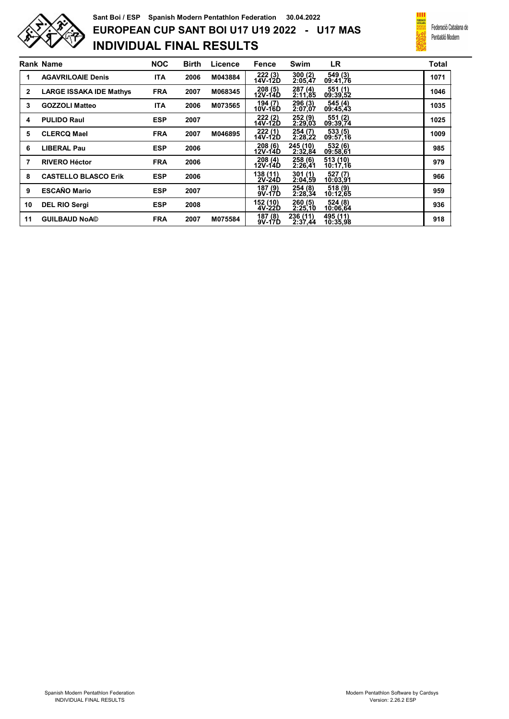

## INDIVIDUAL FINAL RESULTS EUROPEAN CUP SANT BOI U17 U19 2022 - U17 MAS Sant Boi / ESP Spanish Modern Pentathlon Federation 30.04.2022



|              | <b>Rank Name</b>               | <b>NOC</b> | <b>Birth</b> | Licence | Fence                | Swim                | <b>LR</b>            | <b>Total</b> |
|--------------|--------------------------------|------------|--------------|---------|----------------------|---------------------|----------------------|--------------|
| 1            | <b>AGAVRILOAIE Denis</b>       | <b>ITA</b> | 2006         | M043884 | 222 (3)<br>14V-12D   | 300(2)<br>2:05,47   | 549 (3)<br>09:41,76  | 1071         |
| $\mathbf{2}$ | <b>LARGE ISSAKA IDE Mathys</b> | <b>FRA</b> | 2007         | M068345 | 208(5)<br>12V-14D    | 287 (4)<br>2:11,85  | 551 (1)<br>09:39,52  | 1046         |
| 3            | <b>GOZZOLI Matteo</b>          | <b>ITA</b> | 2006         | M073565 | 194 (7)<br>10V-16D   | 296 (3)<br>2:07,07  | 545 (4)<br>09:45,43  | 1035         |
| 4            | <b>PULIDO Raul</b>             | <b>ESP</b> | 2007         |         | 222 (2)<br>14V-12D   | 252 (9)<br>2:29,03  | 551 (2)<br>09:39,74  | 1025         |
| 5            | <b>CLERCQ Mael</b>             | <b>FRA</b> | 2007         | M046895 | 222(1)<br>14V-12D    | 254 (7)<br>2:28,22  | 533 (5)<br>09:57,16  | 1009         |
| 6            | <b>LIBERAL Pau</b>             | <b>ESP</b> | 2006         |         | 208(6)<br>12V-14D    | 245 (10)<br>2:32,84 | 532 (6)<br>09:58,61  | 985          |
| 7            | <b>RIVERO Héctor</b>           | <b>FRA</b> | 2006         |         | 208(4)<br>12V-14D    | 258(6)<br>2:26.41   | 513 (10)<br>10:17.16 | 979          |
| 8            | <b>CASTELLO BLASCO Erik</b>    | <b>ESP</b> | 2006         |         | 138 (11)<br>$2V-24D$ | 301 (1)<br>2:04.59  | 527 (7)<br>10:03,91  | 966          |
| 9            | <b>ESCAÑO Mario</b>            | <b>ESP</b> | 2007         |         | 187 (9)<br>$9V-17D$  | 254 (8)<br>2:28,34  | 518 (9)<br>10:12,65  | 959          |
| 10           | <b>DEL RIO Sergi</b>           | <b>ESP</b> | 2008         |         | 152 (10)<br>$4V-22D$ | 260 (5)<br>2:25,10  | 524 (8)<br>10:06,64  | 936          |
| 11           | <b>GUILBAUD NoA©</b>           | <b>FRA</b> | 2007         | M075584 | 187 (8)<br>9V-17D    | 236 (11)<br>2:37,44 | 495 (11)<br>10:35,98 | 918          |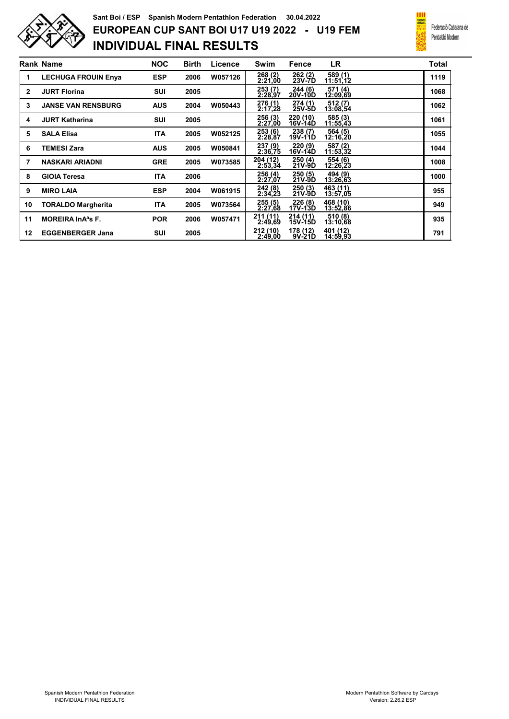

## INDIVIDUAL FINAL RESULTS EUROPEAN CUP SANT BOI U17 U19 2022 - U19 FEM Sant Boi / ESP Spanish Modern Pentathlon Federation 30.04.2022



|    | <b>Rank Name</b>                    | <b>NOC</b> | <b>Birth</b> | Licence | Swim                | Fence               | <b>LR</b>            | <b>Total</b> |
|----|-------------------------------------|------------|--------------|---------|---------------------|---------------------|----------------------|--------------|
| 1  | <b>LECHUGA FROUIN Enva</b>          | <b>ESP</b> | 2006         | W057126 | 268 (2)<br>2:21,00  | 262 (2)<br>23V-7D   | 589 (1)<br>11:51,12  | 1119         |
| 2  | <b>JURT Florina</b>                 | <b>SUI</b> | 2005         |         | 253(7)<br>2:28,97   | 244 (6)<br>20V-10D  | 571 (4)<br>12:09,69  | 1068         |
| 3  | <b>JANSE VAN RENSBURG</b>           | <b>AUS</b> | 2004         | W050443 | 276 (1)<br>2:17,28  | 274(1)<br>25V-5D    | 512(7)<br>13:08,54   | 1062         |
| 4  | <b>JURT Katharina</b>               | <b>SUI</b> | 2005         |         | 256 (3)<br>2:27,00  | 220 (10)<br>16V-14D | 585 (3)<br>11:55,43  | 1061         |
| 5  | <b>SALA Elisa</b>                   | <b>ITA</b> | 2005         | W052125 | 253(6)<br>2:28,87   | 238 (7)<br>19V-11D  | 564 (5)<br>12:16,20  | 1055         |
| 6  | <b>TEMESI Zara</b>                  | <b>AUS</b> | 2005         | W050841 | 237 (9)<br>2:36.75  | 220 (9)<br>16V-14D  | 587 (2)<br>11:53.32  | 1044         |
| 7  | <b>NASKARI ARIADNI</b>              | <b>GRE</b> | 2005         | W073585 | 204 (12)<br>2:53,34 | 250 (4)<br>21V-9D   | 554 (6)<br>12:26,23  | 1008         |
| 8  | <b>GIOIA Teresa</b>                 | <b>ITA</b> | 2006         |         | 256 (4)<br>2:27,07  | 250 (5)<br>21V-9D   | 494 (9)<br>13:26,63  | 1000         |
| 9  | <b>MIRO LAIA</b>                    | <b>ESP</b> | 2004         | W061915 | 242 (8)<br>2:34,23  | 250(3)<br>21V-9D    | 463 (11)<br>13:57,05 | 955          |
| 10 | <b>TORALDO Margherita</b>           | <b>ITA</b> | 2005         | W073564 | 255(5)<br>2:27.68   | 226 (8)<br>17V-13D  | 468 (10)<br>13:52,86 | 949          |
| 11 | <b>MOREIRA In A<sup>a</sup>s F.</b> | <b>POR</b> | 2006         | W057471 | 211 (11)<br>2:49,69 | 214(11)<br>15V-15D  | 510 (8)<br>13:10,68  | 935          |
| 12 | <b>EGGENBERGER Jana</b>             | <b>SUI</b> | 2005         |         | 212 (10)<br>2:49.00 | 178 (12)<br>9V-21D  | 401 (12)<br>14:59.93 | 791          |